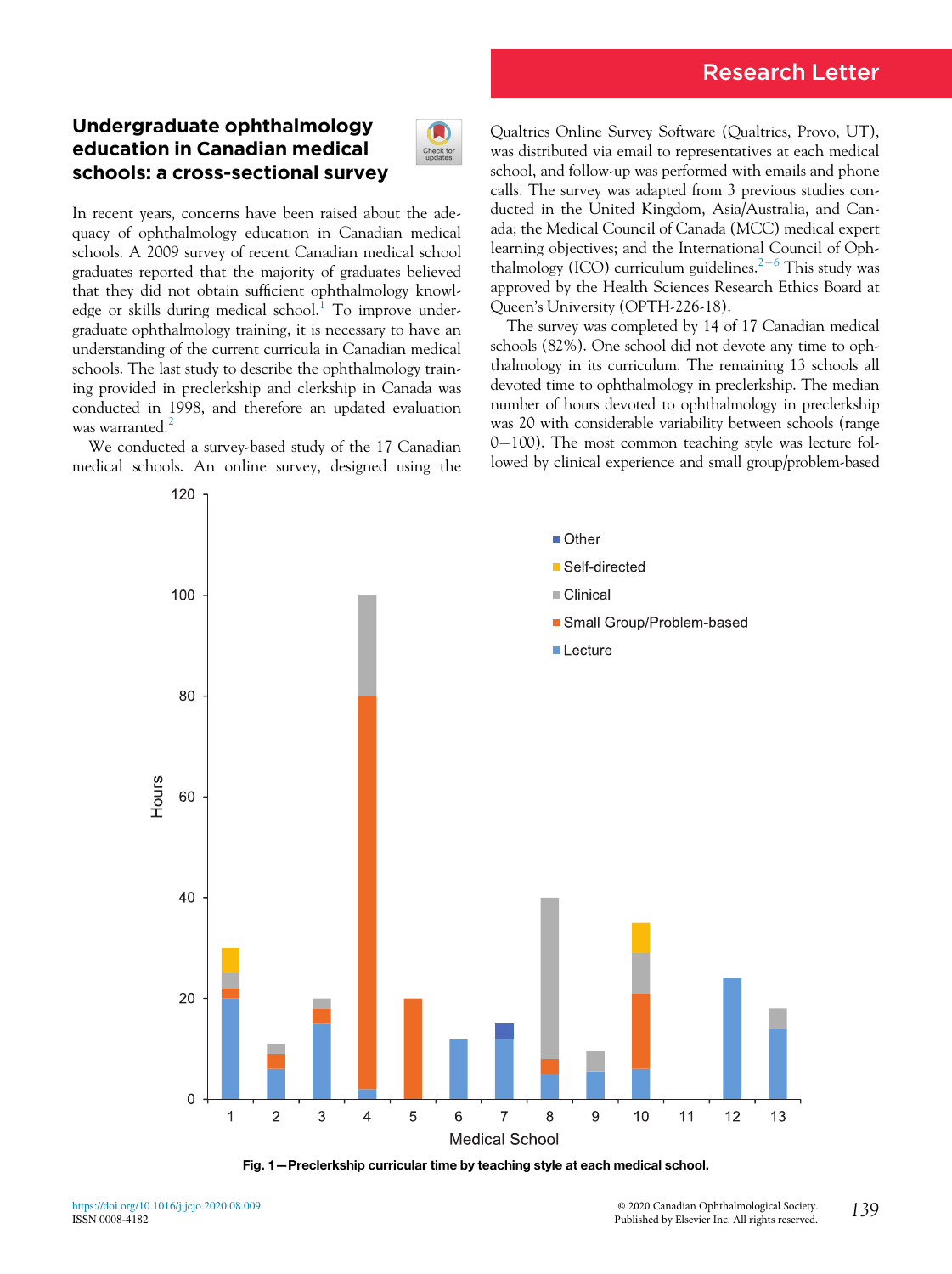# Research Letter

## Undergraduate ophthalmology education in Canadian medical schools: a cross-sectional survey



In recent years, concerns have been raised about the adequacy of ophthalmology education in Canadian medical schools. A 2009 survey of recent Canadian medical school graduates reported that the majority of graduates believed that they did not obtain sufficient ophthalmology knowl-edge or skills during medical school.<sup>[1](#page-2-0)</sup> To improve undergraduate ophthalmology training, it is necessary to have an understanding of the current curricula in Canadian medical schools. The last study to describe the ophthalmology training provided in preclerkship and clerkship in Canada was conducted in 1998, and therefore an updated evaluation was warranted.<sup>[2](#page-2-1)</sup>

<span id="page-0-0"></span>We conducted a survey-based study of the 17 Canadian medical schools. An online survey, designed using the Qualtrics Online Survey Software (Qualtrics, Provo, UT), was distributed via email to representatives at each medical school, and follow-up was performed with emails and phone calls. The survey was adapted from 3 previous studies conducted in the United Kingdom, Asia/Australia, and Canada; the Medical Council of Canada (MCC) medical expert learning objectives; and the International Council of Oph-thalmology (ICO) curriculum guidelines.<sup>[2](#page-2-1)-[6](#page-2-1)</sup> This study was approved by the Health Sciences Research Ethics Board at Queen's University (OPTH-226-18).

The survey was completed by 14 of 17 Canadian medical schools (82%). One school did not devote any time to ophthalmology in its curriculum. The remaining 13 schools all devoted time to ophthalmology in preclerkship. The median number of hours devoted to ophthalmology in preclerkship was 20 with considerable variability between schools (range  $0-100$ ). The most common teaching style was lecture followed by clinical experience and small group/problem-based



Fig. 1—Preclerkship curricular time by teaching style at each medical school.

<https://doi.org/10.1016/j.jcjo.2020.08.009> ISSN 0008-4182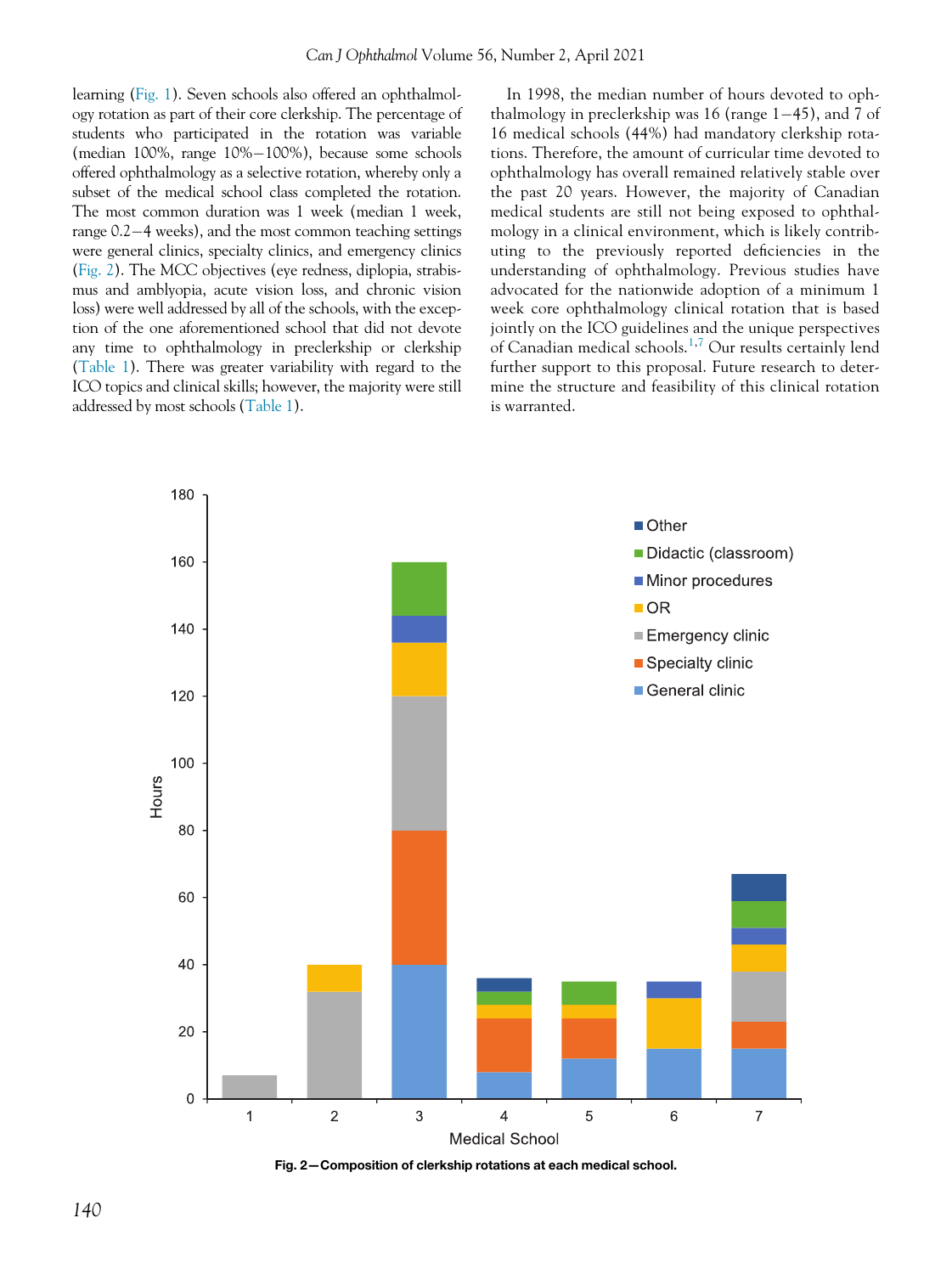learning [\(Fig. 1\)](#page-0-0). Seven schools also offered an ophthalmology rotation as part of their core clerkship. The percentage of students who participated in the rotation was variable (median 100%, range 10%-100%), because some schools offered ophthalmology as a selective rotation, whereby only a subset of the medical school class completed the rotation. The most common duration was 1 week (median 1 week, range  $0.2-4$  weeks), and the most common teaching settings were general clinics, specialty clinics, and emergency clinics [\(Fig. 2](#page-1-0)). The MCC objectives (eye redness, diplopia, strabismus and amblyopia, acute vision loss, and chronic vision loss) were well addressed by all of the schools, with the exception of the one aforementioned school that did not devote any time to ophthalmology in preclerkship or clerkship [\(Table 1\)](#page-2-2). There was greater variability with regard to the ICO topics and clinical skills; however, the majority were still addressed by most schools ([Table 1](#page-2-2)).

In 1998, the median number of hours devoted to ophthalmology in preclerkship was 16 (range  $1-45$ ), and 7 of 16 medical schools (44%) had mandatory clerkship rotations. Therefore, the amount of curricular time devoted to ophthalmology has overall remained relatively stable over the past 20 years. However, the majority of Canadian medical students are still not being exposed to ophthalmology in a clinical environment, which is likely contributing to the previously reported deficiencies in the understanding of ophthalmology. Previous studies have advocated for the nationwide adoption of a minimum 1 week core ophthalmology clinical rotation that is based jointly on the ICO guidelines and the unique perspectives of Canadian medical schools.[1,](#page-2-0)[7](#page-2-3) Our results certainly lend further support to this proposal. Future research to determine the structure and feasibility of this clinical rotation is warranted.

<span id="page-1-0"></span>

Fig. 2—Composition of clerkship rotations at each medical school.